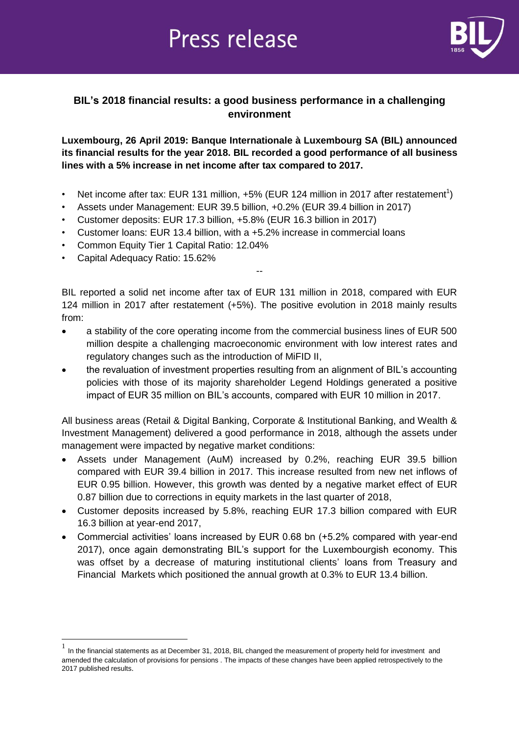# **Press release**



## **BIL's 2018 financial results: a good business performance in a challenging environment**

## **Luxembourg, 26 April 2019: Banque Internationale à Luxembourg SA (BIL) announced its financial results for the year 2018. BIL recorded a good performance of all business lines with a 5% increase in net income after tax compared to 2017.**

- Net income after tax: EUR 131 million,  $+5%$  (EUR 124 million in 2017 after restatement<sup>1</sup>)
- Assets under Management: EUR 39.5 billion, +0.2% (EUR 39.4 billion in 2017)
- Customer deposits: EUR 17.3 billion, +5.8% (EUR 16.3 billion in 2017)
- Customer loans: EUR 13.4 billion, with a +5.2% increase in commercial loans
- Common Equity Tier 1 Capital Ratio: 12.04%
- Capital Adequacy Ratio: 15.62%

 $\overline{a}$ 

BIL reported a solid net income after tax of EUR 131 million in 2018, compared with EUR 124 million in 2017 after restatement (+5%). The positive evolution in 2018 mainly results from:

--

- a stability of the core operating income from the commercial business lines of EUR 500 million despite a challenging macroeconomic environment with low interest rates and regulatory changes such as the introduction of MiFID II,
- the revaluation of investment properties resulting from an alignment of BIL's accounting policies with those of its majority shareholder Legend Holdings generated a positive impact of EUR 35 million on BIL's accounts, compared with EUR 10 million in 2017.

All business areas (Retail & Digital Banking, Corporate & Institutional Banking, and Wealth & Investment Management) delivered a good performance in 2018, although the assets under management were impacted by negative market conditions:

- Assets under Management (AuM) increased by 0.2%, reaching EUR 39.5 billion compared with EUR 39.4 billion in 2017. This increase resulted from new net inflows of EUR 0.95 billion. However, this growth was dented by a negative market effect of EUR 0.87 billion due to corrections in equity markets in the last quarter of 2018,
- Customer deposits increased by 5.8%, reaching EUR 17.3 billion compared with EUR 16.3 billion at year-end 2017,
- Commercial activities' loans increased by EUR 0.68 bn (+5.2% compared with year-end 2017), once again demonstrating BIL's support for the Luxembourgish economy. This was offset by a decrease of maturing institutional clients' loans from Treasury and Financial Markets which positioned the annual growth at 0.3% to EUR 13.4 billion.

 $<sup>1</sup>$  In the financial statements as at December 31, 2018, BIL changed the measurement of property held for investment and</sup> amended the calculation of provisions for pensions . The impacts of these changes have been applied retrospectively to the 2017 published results.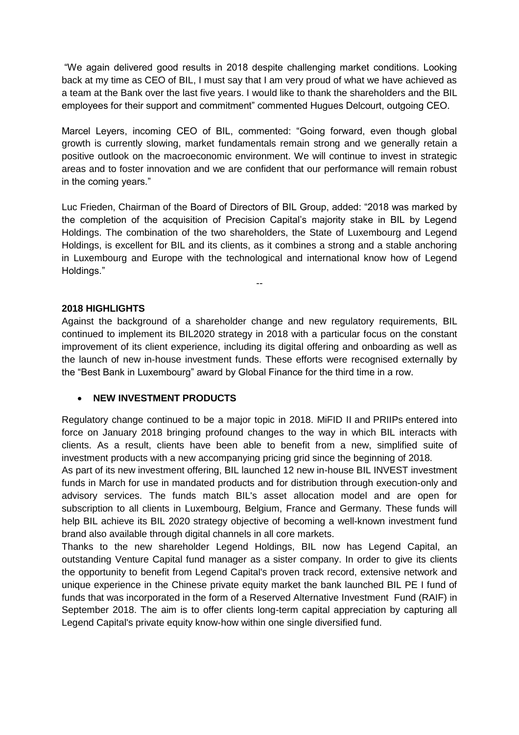"We again delivered good results in 2018 despite challenging market conditions. Looking back at my time as CEO of BIL, I must say that I am very proud of what we have achieved as a team at the Bank over the last five years. I would like to thank the shareholders and the BIL employees for their support and commitment" commented Hugues Delcourt, outgoing CEO.

Marcel Leyers, incoming CEO of BIL, commented: "Going forward, even though global growth is currently slowing, market fundamentals remain strong and we generally retain a positive outlook on the macroeconomic environment. We will continue to invest in strategic areas and to foster innovation and we are confident that our performance will remain robust in the coming years."

Luc Frieden, Chairman of the Board of Directors of BIL Group, added: "2018 was marked by the completion of the acquisition of Precision Capital's majority stake in BIL by Legend Holdings. The combination of the two shareholders, the State of Luxembourg and Legend Holdings, is excellent for BIL and its clients, as it combines a strong and a stable anchoring in Luxembourg and Europe with the technological and international know how of Legend Holdings."

--

**2018 HIGHLIGHTS**

Against the background of a shareholder change and new regulatory requirements, BIL continued to implement its BIL2020 strategy in 2018 with a particular focus on the constant improvement of its client experience, including its digital offering and onboarding as well as the launch of new in-house investment funds. These efforts were recognised externally by the "Best Bank in Luxembourg" award by Global Finance for the third time in a row.

#### **NEW INVESTMENT PRODUCTS**

Regulatory change continued to be a major topic in 2018. MiFID II and PRIIPs entered into force on January 2018 bringing profound changes to the way in which BIL interacts with clients. As a result, clients have been able to benefit from a new, simplified suite of investment products with a new accompanying pricing grid since the beginning of 2018.

As part of its new investment offering, BIL launched 12 new in-house BIL INVEST investment funds in March for use in mandated products and for distribution through execution-only and advisory services. The funds match BIL's asset allocation model and are open for subscription to all clients in Luxembourg, Belgium, France and Germany. These funds will help BIL achieve its BIL 2020 strategy objective of becoming a well-known investment fund brand also available through digital channels in all core markets.

Thanks to the new shareholder Legend Holdings, BIL now has Legend Capital, an outstanding Venture Capital fund manager as a sister company. In order to give its clients the opportunity to benefit from Legend Capital's proven track record, extensive network and unique experience in the Chinese private equity market the bank launched BIL PE I fund of funds that was incorporated in the form of a Reserved Alternative Investment Fund (RAIF) in September 2018. The aim is to offer clients long-term capital appreciation by capturing all Legend Capital's private equity know-how within one single diversified fund.